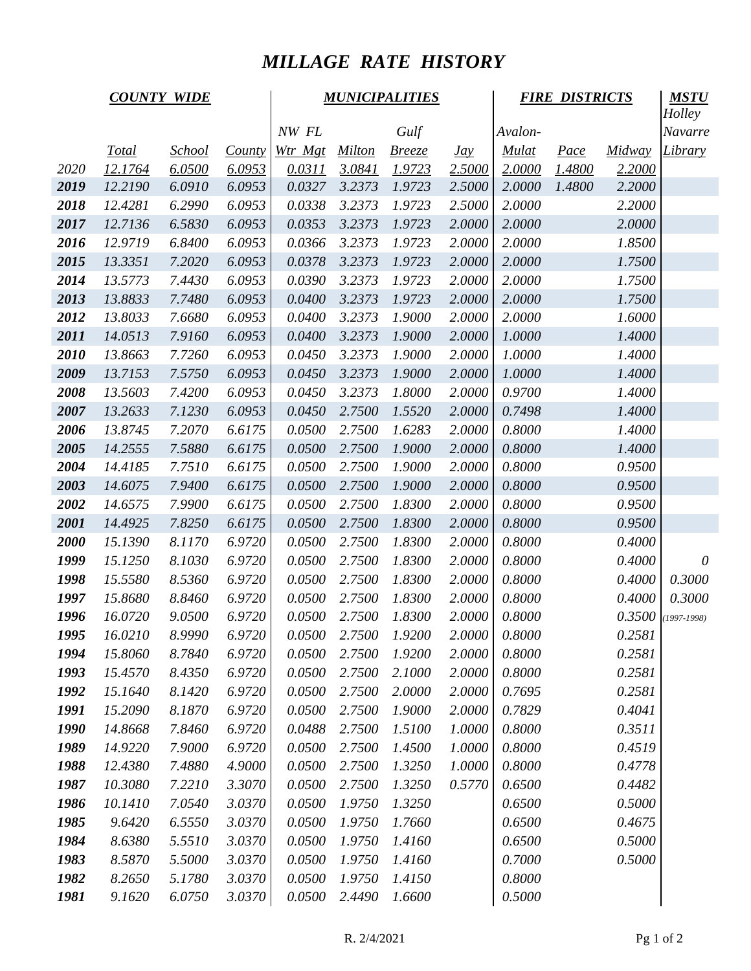## *MILLAGE RATE HISTORY*

|      | <b>COUNTY WIDE</b> |               |               | <b>MUNICIPALITIES</b> |               |               |                   | <b>FIRE DISTRICTS</b> | <b>MSTU</b> |        |               |
|------|--------------------|---------------|---------------|-----------------------|---------------|---------------|-------------------|-----------------------|-------------|--------|---------------|
|      |                    |               |               |                       |               |               |                   |                       |             |        | <b>Holley</b> |
|      |                    |               |               | NW FL                 |               | Gulf          |                   | Avalon-               |             |        | Navarre       |
|      | <u>Total</u>       | <u>School</u> | <b>County</b> | Wtr Mgt               | <b>Milton</b> | <u>Breeze</u> | $\underline{Jay}$ | <b>Mulat</b>          | Pace        | Midway | Library       |
| 2020 | 12.1764            | 6.0500        | 6.0953        | 0.0311                | 3.0841        | 1.9723        | 2.5000            | 2.0000                | 1.4800      | 2.2000 |               |
| 2019 | 12.2190            | 6.0910        | 6.0953        | 0.0327                | 3.2373        | 1.9723        | 2.5000            | 2.0000                | 1.4800      | 2.2000 |               |
| 2018 | 12.4281            | 6.2990        | 6.0953        | 0.0338                | 3.2373        | 1.9723        | 2.5000            | 2.0000                |             | 2.2000 |               |
| 2017 | 12.7136            | 6.5830        | 6.0953        | 0.0353                | 3.2373        | 1.9723        | 2.0000            | 2.0000                |             | 2.0000 |               |
| 2016 | 12.9719            | 6.8400        | 6.0953        | 0.0366                | 3.2373        | 1.9723        | 2.0000            | 2.0000                |             | 1.8500 |               |
| 2015 | 13.3351            | 7.2020        | 6.0953        | 0.0378                | 3.2373        | 1.9723        | 2.0000            | 2.0000                |             | 1.7500 |               |
| 2014 | 13.5773            | 7.4430        | 6.0953        | 0.0390                | 3.2373        | 1.9723        | 2.0000            | 2.0000                |             | 1.7500 |               |
| 2013 | 13.8833            | 7.7480        | 6.0953        | 0.0400                | 3.2373        | 1.9723        | 2.0000            | 2.0000                |             | 1.7500 |               |
| 2012 | 13.8033            | 7.6680        | 6.0953        | 0.0400                | 3.2373        | 1.9000        | 2.0000            | 2.0000                |             | 1.6000 |               |
| 2011 | 14.0513            | 7.9160        | 6.0953        | 0.0400                | 3.2373        | 1.9000        | 2.0000            | 1.0000                |             | 1.4000 |               |
| 2010 | 13.8663            | 7.7260        | 6.0953        | 0.0450                | 3.2373        | 1.9000        | 2.0000            | 1.0000                |             | 1.4000 |               |
| 2009 | 13.7153            | 7.5750        | 6.0953        | 0.0450                | 3.2373        | 1.9000        | 2.0000            | 1.0000                |             | 1.4000 |               |
| 2008 | 13.5603            | 7.4200        | 6.0953        | 0.0450                | 3.2373        | 1.8000        | 2.0000            | 0.9700                |             | 1.4000 |               |
| 2007 | 13.2633            | 7.1230        | 6.0953        | 0.0450                | 2.7500        | 1.5520        | 2.0000            | 0.7498                |             | 1.4000 |               |
| 2006 | 13.8745            | 7.2070        | 6.6175        | 0.0500                | 2.7500        | 1.6283        | 2.0000            | 0.8000                |             | 1.4000 |               |
| 2005 | 14.2555            | 7.5880        | 6.6175        | 0.0500                | 2.7500        | 1.9000        | 2.0000            | 0.8000                |             | 1.4000 |               |
| 2004 | 14.4185            | 7.7510        | 6.6175        | 0.0500                | 2.7500        | 1.9000        | 2.0000            | 0.8000                |             | 0.9500 |               |
| 2003 | 14.6075            | 7.9400        | 6.6175        | 0.0500                | 2.7500        | 1.9000        | 2.0000            | 0.8000                |             | 0.9500 |               |
| 2002 | 14.6575            | 7.9900        | 6.6175        | 0.0500                | 2.7500        | 1.8300        | 2.0000            | 0.8000                |             | 0.9500 |               |
| 2001 | 14.4925            | 7.8250        | 6.6175        | 0.0500                | 2.7500        | 1.8300        | 2.0000            | 0.8000                |             | 0.9500 |               |
| 2000 | 15.1390            | 8.1170        | 6.9720        | 0.0500                | 2.7500        | 1.8300        | 2.0000            | 0.8000                |             | 0.4000 |               |
| 1999 | 15.1250            | 8.1030        | 6.9720        | 0.0500                | 2.7500        | 1.8300        | 2.0000            | 0.8000                |             | 0.4000 | $\theta$      |
| 1998 | 15.5580            | 8.5360        | 6.9720        | 0.0500                | 2.7500        | 1.8300        | 2.0000            | 0.8000                |             | 0.4000 | 0.3000        |
| 1997 | 15.8680            | 8.8460        | 6.9720        | 0.0500                | 2.7500        | 1.8300        | 2.0000            | 0.8000                |             | 0.4000 | 0.3000        |
| 1996 | 16.0720            | 9.0500        | 6.9720        | 0.0500                | 2.7500        | 1.8300        | 2.0000            | 0.8000                |             | 0.3500 | $(1997-1998)$ |
| 1995 | 16.0210            | 8.9990        | 6.9720        | 0.0500                | 2.7500        | 1.9200        | 2.0000            | 0.8000                |             | 0.2581 |               |
| 1994 | 15.8060            | 8.7840        | 6.9720        | 0.0500                | 2.7500        | 1.9200        | 2.0000            | 0.8000                |             | 0.2581 |               |
| 1993 | 15.4570            | 8.4350        | 6.9720        | 0.0500                | 2.7500        | 2.1000        | 2.0000            | 0.8000                |             | 0.2581 |               |
| 1992 | 15.1640            | 8.1420        | 6.9720        | 0.0500                | 2.7500        | 2.0000        | 2.0000            | 0.7695                |             | 0.2581 |               |
| 1991 | 15.2090            | 8.1870        | 6.9720        | 0.0500                | 2.7500        | 1.9000        | 2.0000            | 0.7829                |             | 0.4041 |               |
| 1990 | 14.8668            | 7.8460        | 6.9720        | 0.0488                | 2.7500        | 1.5100        | 1.0000            | 0.8000                |             | 0.3511 |               |
| 1989 | 14.9220            | 7.9000        | 6.9720        | 0.0500                | 2.7500        | 1.4500        | 1.0000            | 0.8000                |             | 0.4519 |               |
| 1988 | 12.4380            | 7.4880        | 4.9000        | 0.0500                | 2.7500        | 1.3250        | 1.0000            | 0.8000                |             | 0.4778 |               |
| 1987 | 10.3080            | 7.2210        | 3.3070        | 0.0500                | 2.7500        | 1.3250        | 0.5770            | 0.6500                |             | 0.4482 |               |
| 1986 | 10.1410            | 7.0540        | 3.0370        | 0.0500                | 1.9750        | 1.3250        |                   | 0.6500                |             | 0.5000 |               |
| 1985 | 9.6420             | 6.5550        | 3.0370        | 0.0500                | 1.9750        | 1.7660        |                   | 0.6500                |             | 0.4675 |               |
| 1984 | 8.6380             | 5.5510        | 3.0370        | 0.0500                | 1.9750        | 1.4160        |                   | 0.6500                |             | 0.5000 |               |
| 1983 | 8.5870             | 5.5000        | 3.0370        | 0.0500                | 1.9750        | 1.4160        |                   | 0.7000                |             | 0.5000 |               |
| 1982 | 8.2650             | 5.1780        | 3.0370        | 0.0500                | 1.9750        | 1.4150        |                   | 0.8000                |             |        |               |
| 1981 | 9.1620             | 6.0750        | 3.0370        | 0.0500                | 2.4490        | 1.6600        |                   | 0.5000                |             |        |               |